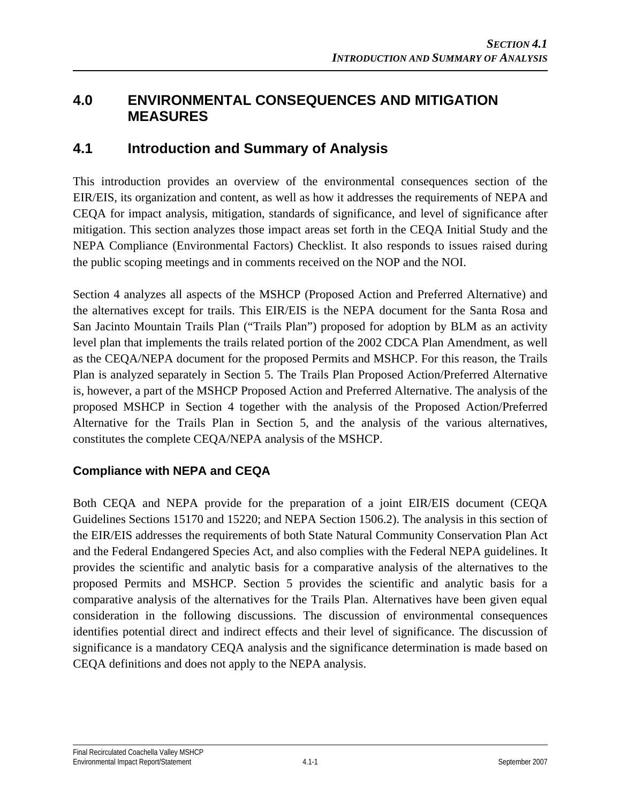## **4.0 ENVIRONMENTAL CONSEQUENCES AND MITIGATION MEASURES**

## **4.1 Introduction and Summary of Analysis**

This introduction provides an overview of the environmental consequences section of the EIR/EIS, its organization and content, as well as how it addresses the requirements of NEPA and CEQA for impact analysis, mitigation, standards of significance, and level of significance after mitigation. This section analyzes those impact areas set forth in the CEQA Initial Study and the NEPA Compliance (Environmental Factors) Checklist. It also responds to issues raised during the public scoping meetings and in comments received on the NOP and the NOI.

Section 4 analyzes all aspects of the MSHCP (Proposed Action and Preferred Alternative) and the alternatives except for trails. This EIR/EIS is the NEPA document for the Santa Rosa and San Jacinto Mountain Trails Plan ("Trails Plan") proposed for adoption by BLM as an activity level plan that implements the trails related portion of the 2002 CDCA Plan Amendment, as well as the CEQA/NEPA document for the proposed Permits and MSHCP. For this reason, the Trails Plan is analyzed separately in Section 5. The Trails Plan Proposed Action/Preferred Alternative is, however, a part of the MSHCP Proposed Action and Preferred Alternative. The analysis of the proposed MSHCP in Section 4 together with the analysis of the Proposed Action/Preferred Alternative for the Trails Plan in Section 5, and the analysis of the various alternatives, constitutes the complete CEQA/NEPA analysis of the MSHCP.

## **Compliance with NEPA and CEQA**

Both CEQA and NEPA provide for the preparation of a joint EIR/EIS document (CEQA Guidelines Sections 15170 and 15220; and NEPA Section 1506.2). The analysis in this section of the EIR/EIS addresses the requirements of both State Natural Community Conservation Plan Act and the Federal Endangered Species Act, and also complies with the Federal NEPA guidelines. It provides the scientific and analytic basis for a comparative analysis of the alternatives to the proposed Permits and MSHCP. Section 5 provides the scientific and analytic basis for a comparative analysis of the alternatives for the Trails Plan. Alternatives have been given equal consideration in the following discussions. The discussion of environmental consequences identifies potential direct and indirect effects and their level of significance. The discussion of significance is a mandatory CEQA analysis and the significance determination is made based on CEQA definitions and does not apply to the NEPA analysis.